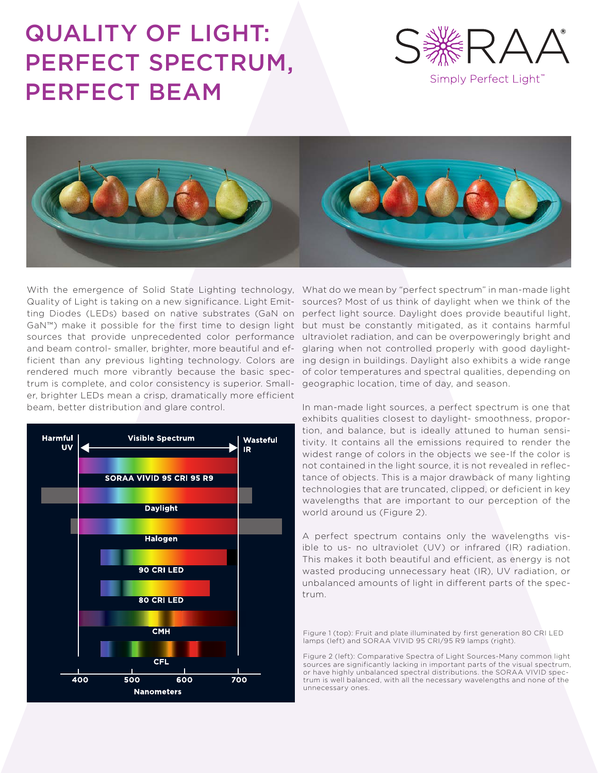# QUALITY OF LIGHT: PERFECT SPECTRUM, PERFECT BEAM



Simply Perfect Light"



With the emergence of Solid State Lighting technology, What do we mean by "perfect spectrum" in man-made light and beam control- smaller, brighter, more beautiful and eftrum is complete, and color consistency is superior. Small-geographic location, time of day, and season. er, brighter LEDs mean a crisp, dramatically more efficient beam, better distribution and glare control.



Quality of Light is taking on a new significance. Light Emit- sources? Most of us think of daylight when we think of the ting Diodes (LEDs) based on native substrates (GaN on perfect light source. Daylight does provide beautiful light, GaN™) make it possible for the first time to design light but must be constantly mitigated, as it contains harmful sources that provide unprecedented color performance ultraviolet radiation, and can be overpoweringly bright and ficient than any previous lighting technology. Colors are ing design in buildings. Daylight also exhibits a wide range rendered much more vibrantly because the basic spec-of color temperatures and spectral qualities, depending on glaring when not controlled properly with good daylight-

> In man-made light sources, a perfect spectrum is one that exhibits qualities closest to daylight- smoothness, proportion, and balance, but is ideally attuned to human sensitivity. It contains all the emissions required to render the widest range of colors in the objects we see-If the color is not contained in the light source, it is not revealed in reflectance of objects. This is a major drawback of many lighting technologies that are truncated, clipped, or deficient in key wavelengths that are important to our perception of the world around us (Figure 2).

> A perfect spectrum contains only the wavelengths visible to us- no ultraviolet (UV) or infrared (IR) radiation. This makes it both beautiful and efficient, as energy is not wasted producing unnecessary heat (IR), UV radiation, or unbalanced amounts of light in different parts of the spectrum.

Figure 1 (top): Fruit and plate illuminated by first generation 80 CRI LED lamps (left) and SORAA VIVID 95 CRI/95 R9 lamps (right).

Figure 2 (left): Comparative Spectra of Light Sources-Many common light sources are significantly lacking in important parts of the visual spectrum, or have highly unbalanced spectral distributions. the SORAA VIVID spectrum is well balanced, with all the necessary wavelengths and none of the unnecessary ones.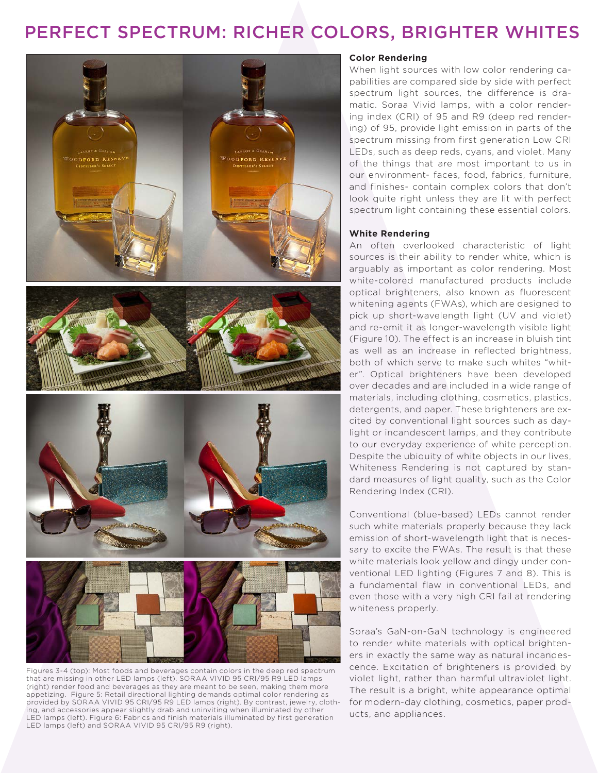# PERFECT SPECTRUM: RICHER COLORS, BRIGHTER WHITES





Figures 3-4 (top): Most foods and beverages contain colors in the deep red spectrum that are missing in other LED lamps (left). SORAA VIVID 95 CRI/95 R9 LED lamps (right) render food and beverages as they are meant to be seen, making them more appetizing. Figure 5: Retail directional lighting demands optimal color rendering as provided by SORAA VIVID 95 CRI/95 R9 LED lamps (right). By contrast, jewelry, clothing, and accessories appear slightly drab and uninviting when illuminated by other LED lamps (left). Figure 6: Fabrics and finish materials illuminated by first generation LED lamps (left) and SORAA VIVID 95 CRI/95 R9 (right).

### **Color Rendering**

When light sources with low color rendering capabilities are compared side by side with perfect spectrum light sources, the difference is dramatic. Soraa Vivid lamps, with a color rendering index (CRI) of 95 and R9 (deep red rendering) of 95, provide light emission in parts of the spectrum missing from first generation Low CRI LEDs, such as deep reds, cyans, and violet. Many of the things that are most important to us in our environment- faces, food, fabrics, furniture, and finishes- contain complex colors that don't look quite right unless they are lit with perfect spectrum light containing these essential colors.

### **White Rendering**

An often overlooked characteristic of light sources is their ability to render white, which is arguably as important as color rendering. Most white-colored manufactured products include optical brighteners, also known as fluorescent whitening agents (FWAs), which are designed to pick up short-wavelength light (UV and violet) and re-emit it as longer-wavelength visible light (Figure 10). The effect is an increase in bluish tint as well as an increase in reflected brightness, both of which serve to make such whites "whiter". Optical brighteners have been developed over decades and are included in a wide range of materials, including clothing, cosmetics, plastics, detergents, and paper. These brighteners are excited by conventional light sources such as daylight or incandescent lamps, and they contribute to our everyday experience of white perception. Despite the ubiquity of white objects in our lives, Whiteness Rendering is not captured by standard measures of light quality, such as the Color Rendering Index (CRI).

Conventional (blue-based) LEDs cannot render such white materials properly because they lack emission of short-wavelength light that is necessary to excite the FWAs. The result is that these white materials look yellow and dingy under conventional LED lighting (Figures 7 and 8). This is a fundamental flaw in conventional LEDs, and even those with a very high CRI fail at rendering whiteness properly.

Soraa's GaN-on-GaN technology is engineered to render white materials with optical brighteners in exactly the same way as natural incandescence. Excitation of brighteners is provided by violet light, rather than harmful ultraviolet light. The result is a bright, white appearance optimal for modern-day clothing, cosmetics, paper products, and appliances.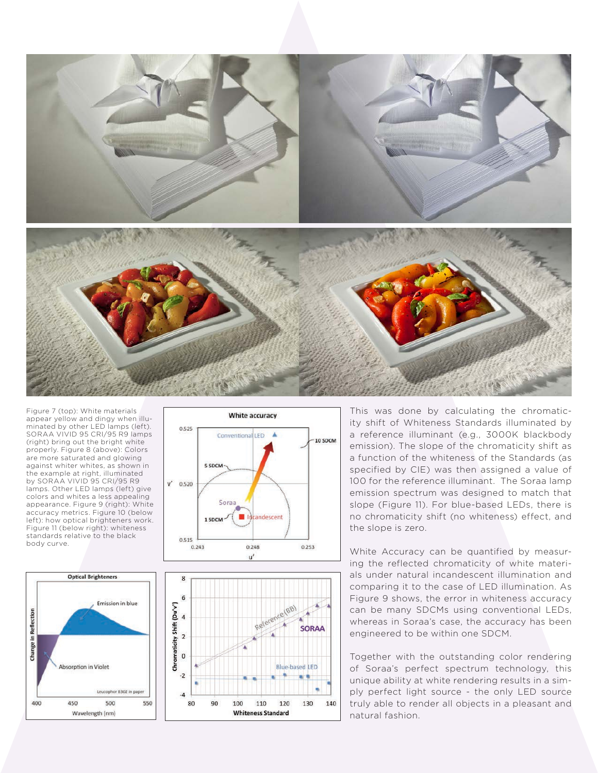

Figure 7 (top): White materials appear yellow and dingy when illu minated by other LED lamps (left). SORAA VIVID 95 CRI/95 R9 lamps (right) bring out the bright white properly. Figure 8 (above): Colors are more saturated and glowing against whiter whites, as shown in the example at right, illuminated by SORAA VIVID 95 CRI/95 R9 lamps. Other LED lamps (left) give colors and whites a less appealing appearance. Figure 9 (right): White accuracy metrics. Figure 10 (below left): how optical brighteners work. Figure 11 (below right): whiteness standards relative to the black body curve.







This was done by calculating the chromaticity shift of Whiteness Standards illuminated by a reference illuminant (e.g., 3000K blackbody emission). The slope of the chromaticity shift as a function of the whiteness of the Standards (as specified by CIE) was then assigned a value of 100 for the reference illuminant. The Soraa lamp emission spectrum was designed to match that slope (Figure 11). For blue-based LEDs, there is no chromaticity shift (no whiteness) effect, and the slope is zero.

White Accuracy can be quantified by measur ing the reflected chromaticity of white materi als under natural incandescent illumination and comparing it to the case of LED illumination. As Figure 9 shows, the error in whiteness accuracy can be many SDCMs using conventional LEDs, whereas in Soraa's case, the accuracy has been engineered to be within one SDCM.

Together with the outstanding color rendering of Soraa's perfect spectrum technology, this unique ability at white rendering results in a sim ply perfect light source - the only LED source truly able to render all objects in a pleasant and natural fashion.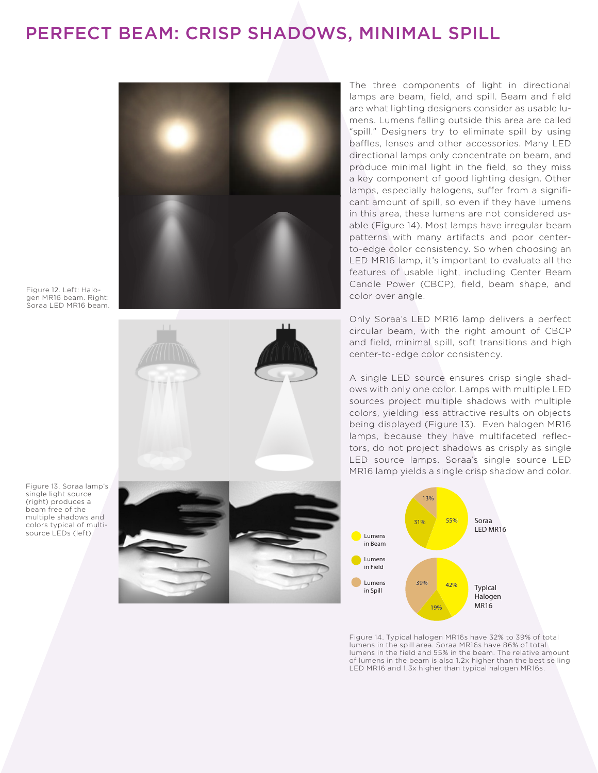### PERFECT BEAM: CRISP SHADOWS, MINIMAL SPILL



are what lighting designers consider as usable lumens. Lumens falling outside this area are called "spill." Designers try to eliminate spill by using baffles, lenses and other accessories. Many LED directional lamps only concentrate on beam, and produce minimal light in the field, so they miss a key component of good lighting design. Other lamps, especially halogens, suffer from a significant amount of spill, so even if they have lumens in this area, these lumens are not considered usable (Figure 14). Most lamps have irregular beam patterns with many artifacts and poor centerto-edge color consistency. So when choosing an LED MR16 lamp, it's important to evaluate all the features of usable light, including Center Beam Candle Power (CBCP), field, beam shape, and color over angle.

Only Soraa's LED MR16 lamp delivers a perfect circular beam, with the right amount of CBCP and field, minimal spill, soft transitions and high center-to-edge color consistency.

A single LED source ensures crisp single shadows with only one color. Lamps with multiple LED sources project multiple shadows with multiple colors, yielding less attractive results on objects being displayed (Figure 13). Even halogen MR16 lamps, because they have multifaceted reflectors, do not project shadows as crisply as single LED source lamps. Soraa's single source LED MR16 lamp yields a single crisp shadow and color.



Figure 14. Typical halogen MR16s have 32% to 39% of total lumens in the spill area. Soraa MR16s have 86% of total lumens in the field and 55% in the beam. The relative amount of lumens in the beam is also 1.2x higher than the best selling LED MR16 and 1.3x higher than typical halogen MR16s.

Figure 12. Left: Halogen MR16 beam. Right: Soraa LED MR16 beam.